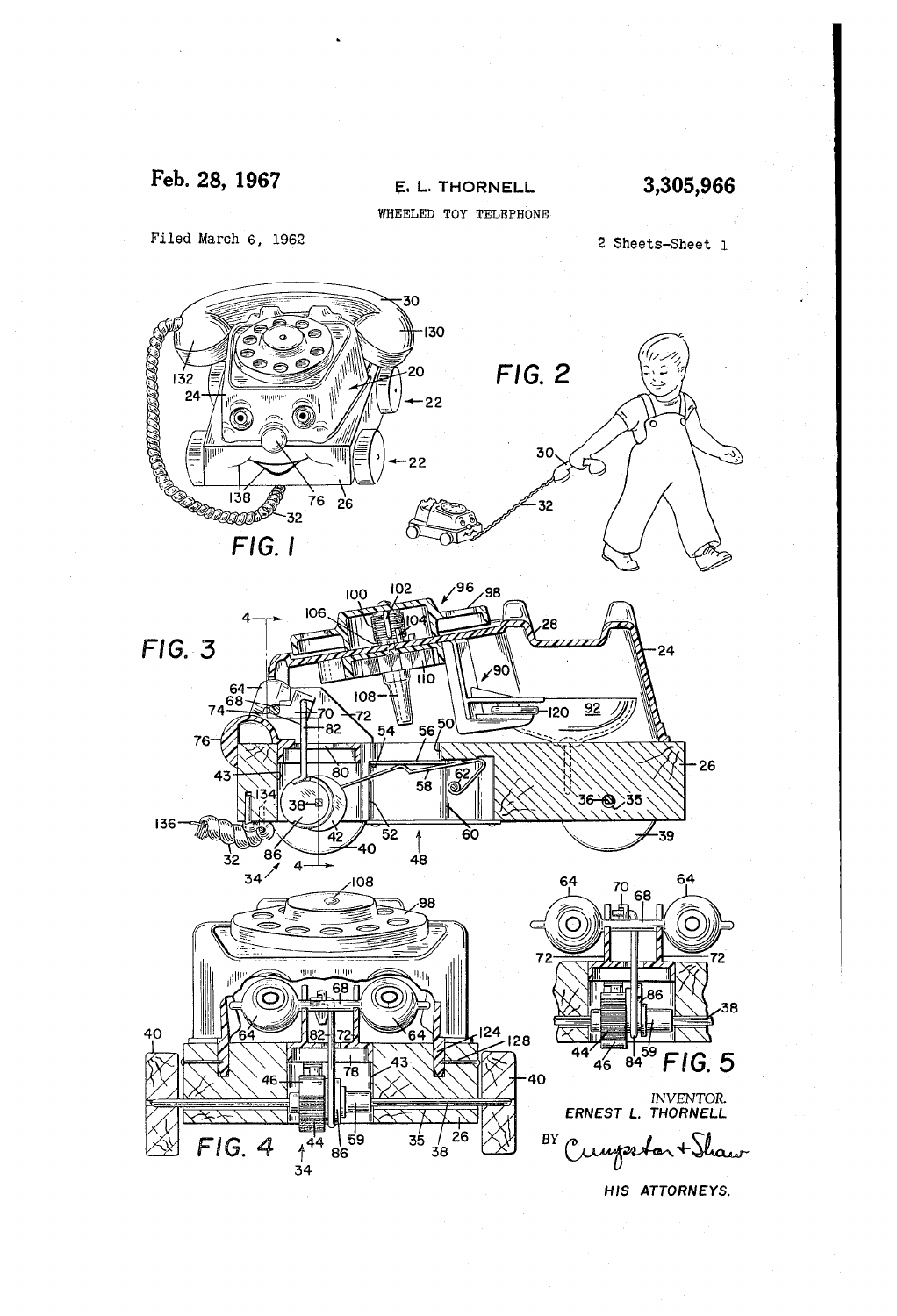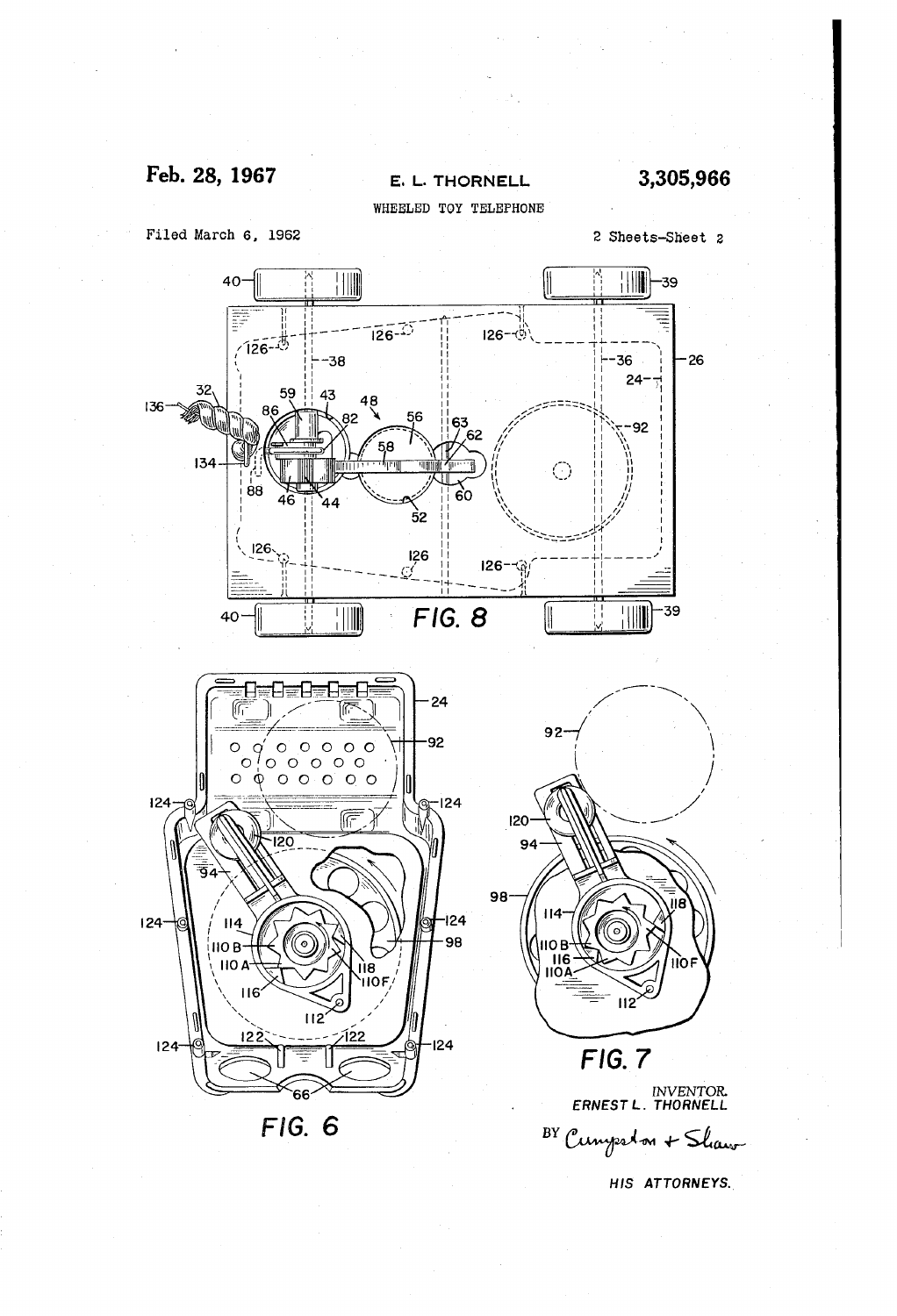# Feb. 28, 1967 E. L. THORNELL 3,305,966

WHEELED TOY TELEPHONE



FIG. 6

 $^{BY}$  Cunyston + Shaw

HIS ATTORNEYS.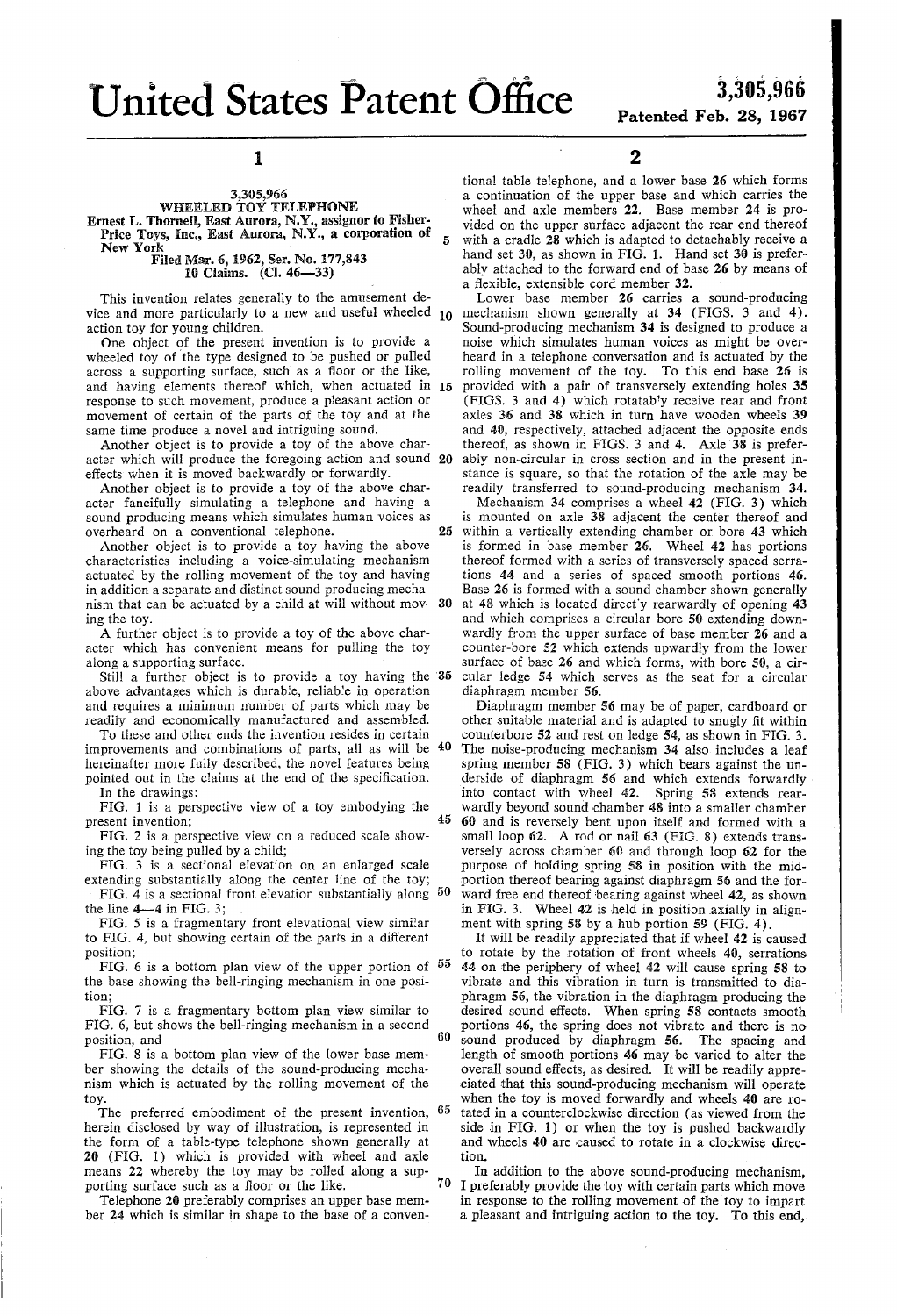United States Patent Office 3,305,966

5

45

## 1

## 3,305,966<br>WHEELED TOY TELEPHONE Ernest L. Thornell, East Aurora, N.Y., assignor to Fisher Price Toys, Inc., East Aurora, N.Y., a corporation of New York

Filed Mar. 6, 1962, Ser. No. 177,843<br>10 Claims. (Cl. 46-33)

This invention relates generally to the amusement de vice and more particularly to a new and useful wheeled  $10$ action toy for young children.<br>One object of the present invention is to provide a

wheeled toy of the type designed to be pushed or pulled across a supporting surface, such as a floor or the like, across a supporting surface, such as a floor or the like, and having elements thereof which, when actuated in 15 response to such movement, produce a pleasant action or movement of certain of the parts of the toy and at the same time produce a novel and intriguing sound.

Another object is to provide a toy of the above char acter which will produce the foregoing action and sound 20

effects when it is moved backwardly or forwardly. Another object is to provide a toy of the above char acter fancifully simulating a telephone and having a sound producing means which simulates human voices as overheard on a conventional telephone. 25

Another object is to provide a toy having the above characteristics including a voice-simulating mechanism in addition a separate and distinct sound-producing mechanism that can be actuated by a child at will without nov. 30 ing the toy.

A further object is to provide a toy of the above char acter which has convenient means for pulling the toy along a supporting Surface.

Still a further object is to provide a toy having the 35 above advantages which is durable, reliable in operation and requires a minimum number of parts which may be readily and economically manufactured and assembled.

To these and other ends the invention resides in certain improvements and combinations of parts, all as will be pointed out in the claims at the end of the specification.

In the drawings:

FIG. 1 is a perspective view of a toy embodying the present invention;

FIG. 2 is a perspective view on a reduced scale show ing the toy being pulled by a child;

FIG. 3 is a sectional elevation on an enlarged scale extending substantially along the center line of the toy;

FIG. 4 is a sectional front elevation substantially along  $50$ the line  $4-4$  in FIG. 3; FIG. 5 is a fragmentary front elevational view similar

to FIG. 4, but showing certain of the parts in a different position;

FIG. 6 is a bottom plan view of the upper portion of  $55$ the base showing the bell-ringing mechanism in one posi tion;

FIG. 7 is a fragmentary bottom plan view similar to FIG. 6, but shows the bell-ringing mechanism in a second position, and 60

FIG. 8 is a bottom plan view of the lower base mem ber showing the details of the sound-producing mecha nism which is actuated by the rolling movement of the

toy.<br>The preferred embodiment of the present invention, herein disclosed by way of illustration, is represented in the form of a table-type telephone shown generally at 20 (FIG. 1) which is provided with wheel and axle means 22 whereby the toy may be rolled along a supporting surface such as a floor or the like.

Telephone 20 preferably comprises an upper base mem ber 24 which is similar in shape to the base of a conven

2

tional table telephone, and a lower base 26 which forms a continuation of the upper base and which carries the wheel and axle members 22. Base member 24 is provided on the upper surface adjacent the rear end thereof with a cradle  $28$  which is adapted to detachably receive a hand set  $30$ , as shown in FIG. 1. Hand set  $30$  is preferably attached to the forward end of base 26 by means of

a flexible, extensible cord member 32.<br>Lower base member 26 carries a sound-producing mechanism shown generally at 34 (FIGS.  $3 \text{ and } 4$ ). Sound-producing mechanism 34 is designed to produce a noise which simulates human voices as might be over heard in a telephone conversation and is actuated by the rolling movement of the toy. To this end base 26 is provided with a pair of transversely extending holes 35 (FIGS. 3 and 4) which rotatably receive rear and front axles 36 and 38 which in turn have wooden wheels 39 and 40, respectively, attached adjacent the opposite ends<br>thereof, as shown in FIGS, 3 and 4. Axle 38 is preferably non-circular in cross section and in the present instance is square, so that the rotation of the axle may be readily transferred to sound-producing mechanism 34. Mechanism 34 comprises a wheel 42 (FIG. 3) which is mounted on axle 38 adjacent the center thereof and

within a vertically extending chamber or bore 43 which<br>is formed in base member 26. Wheel 42 has portions thereof formed with a series of transversely spaced serrations 44 and a series of spaced smooth portions 46.<br>Base 26 is formed with a sound chamber shown generally at 48 which is located directly rearwardly of opening 43 and which comprises a circular bore 50 extending down Wardly from the upper surface of base member 26 and a counter-bore 52 which extends upwardly from the lower surface of base 26 and which forms, with bore 50, a circular ledge 54 which serves as the seat for a circular diaphragm member 56.

40 Diaphragm member 56 may be of paper, cardboard or other Suitable material and is adapted to snugly fit within counterbore 52 and rest on ledge 54, as shown in FIG. 3. The noise-producing mechanism 34 also includes a leaf spring member 58 (FIG. 3) which bears against the underside of diaphragm 56 and which extends forwardly into contact with wheel 42. Spring 58 extends rear-Wardly beyond sound chamber 48 into a smaller chamber 60 and is reversely bent upon itself and formed with a small loop 62. A rod or nail 63 (FIG. 8) extends transversely across chamber 60 and through loop 62 for the purpose of holding spring 58 in position with the mid portion thereof bearing against diaphragm 56 and the for ward free end thereof bearing against wheel 42, as shown in FIG. 3. Wheel 42 is held in position axially in align ment with spring 58 by a hub portion 59 (FIG. 4).

It will be readily appreciated that if wheel 42 is caused to rotate by the rotation of front wheels 40, serrations 44 on the periphery of wheel 42 will cause spring 58 to vibrate and this vibration in turn is transmitted to dia phragm 56, the vibration in the diaphragm producing the desired sound effects. When spring 58 contacts smooth portions 46, the spring does not vibrate and there is no sound produced by diaphragm 56. The spacing and length of smooth portions 46 may be varied to alter the overall sound effects, as desired. It will be readily appreciated that this sound-producing mechanism will operate when the toy is moved forwardly and wheels 40 are rotated in a counterclockwise direction (as viewed from the side in FIG. 1) or when the toy is pushed backwardly and wheels 40 are caused to rotate in a clockwise direc tion.

70 In addition to the above sound-producing mechanism, I preferably provide the toy with certain parts which move in response to the rolling movement of the toy to impart a pleasant and intriguing action to the toy. To this end,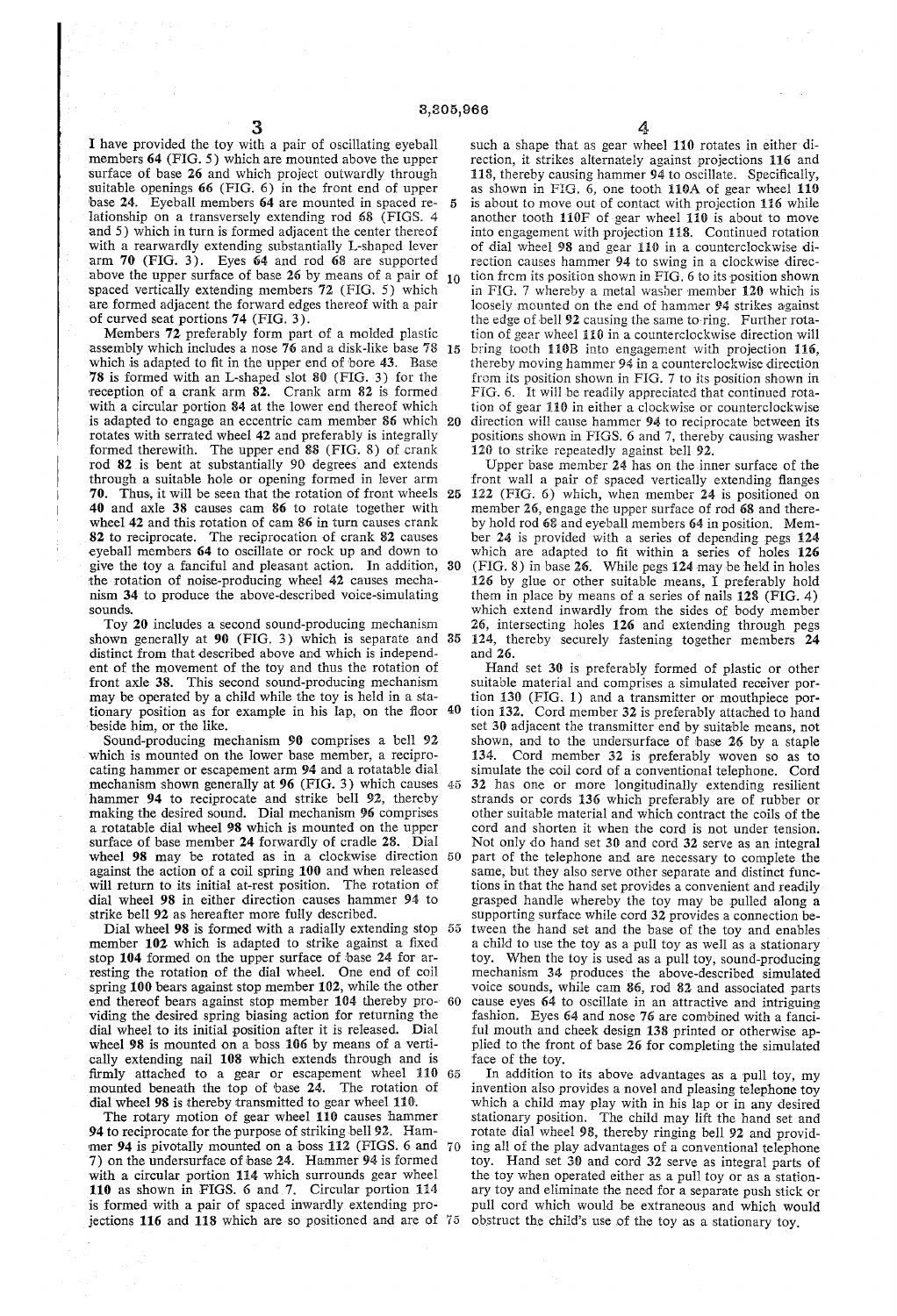$\overline{5}$ 

I have provided the toy with a pair of oscillating eyeball members 64 (FIG. 5) which are mounted above the upper surface of base 26 and which project outwardly through suitable openings 66 (FIG. 6) in the front end of upper base 24. Eyeball members 64 are mounted in spaced relationship on a transversely extending rod 68 (FIGS. 4 and 5) which in turn is formed adjacent the center thereof with a rearwardly extending substantially L-shaped lever arm  $70^{\circ}$  (FIG. 3). Eyes 64 and rod 68 are supported arm 70 (FIG. 3). Eyes 64 and rod 68 are supported above the upper surface of base 26 by means of a pair of  $10$ spaced vertically extending members  $72$  (FIG. 5) which are formed adjacent the forward edges thereof with a pair

are formed adjacent the forward edges thereof with a pair<br>of curved seat portions 74 (FIG. 3).<br>Members 72 preferably form part of a molded plastic<br>assembly which includes a nose 76 and a disk-like base 78 15 which is adapted to fit in the upper end of bore 43. Base 78 is formed with an L-shaped slot 80 (FIG. 3) for the reception of a crank arm 82. Crank arm 82 is formed with a circular portion 84 at the lower end thereof which is adapted to engage an eccentric cam member 86 which 20 rotates with serrated wheel 42 and preferably is integrally formed therewith. The upper end 83 (FIG. 8) of crank rod 82 is bent at substantially 90 degrees and extends through a suitable hole or opening formed in lever arm 70. Thus, it will be seen that the rotation of front wheels 25 40 and axle 38 causes cam 86 to rotate together with wheel  $42$  and this rotation of cam  $86$  in turn causes crank  $82$  to reciprocate. The reciprocation of crank  $82$  causes The reciprocation of crank 82 causes eyeball members 64 to oscillate or rock up and down to the rotation of noise-producing wheel 42 causes mechanism 34 to produce the above-described voice-simulating sounds. give the toy a fanciful and pleasant action. In addition, 30

Toy 20 includes a second sound-producing mechanism shown generally at 90 (FIG. 3) which is separate and 35 distinct from that described above and which is independ ent of the movement of the toy and thus the rotation of front axle 38. This second sound-producing mechanism may be operated by a child while the toy is held in a sta tionary position as for example in his lap, on the floor 40

beside him, or the like.<br>Sound-producing mechanism 90 comprises a bell 92<br>which is mounted on the lower base member, a reciprocating hammer or escapement arm 94 and a rotatable dial mechanism shown generally at  $96$  (FIG. 3) which causes  $45$  hammer  $94$  to reciprocate and strike bell  $92$ , thereby making the desired sound. Dial mechanism 96 comprises a rotatable dial wheel 98 which is mounted on the upper surface of base member 24 forwardly of cradle 28. Dial against the action of a coil spring 100 and when released will return to its initial at-rest position. The rotation of dial wheel 98 in either direction causes hammer 94 to wheel  $98$  may be rotated as in a clockwise direction  $50$ 

strike bell 92 as hereafter more fully described.<br>Dial wheel 98 is formed with a radially extending stop member 102 which is adapted to strike against a fixed stop 104 formed on the upper surface of base 24 for arresting the rotation of the dial wheel. One end of coil spring  $100$  bears against stop member  $102$ , while the other end thereof bears against stop member  $104$  thereby providing the desired spring biasing action for returning the dial wheel to its initial position after it is released. Dial wheel 98 is mounted on a boss 106 by means of a verti cally extending nail 108 which extends through and is firmly attached to a gear or escapement wheel  $110$  65 mounted beneath the top of base 24. The rotation of dial wheel 98 is thereby transmitted to gear wheel 110. 60

The rotary motion of gear wheel 110 causes hammer 94 to reciprocate for the purpose of striking bell 92. Ham mer 94 is pivotally mounted on a boss 112 (FIGS. 6 and  $70$  7) on the undersurface of base 24. Hammer 94 is formed with a circular portion 114 which surrounds gear wheel 110 as shown in FIGS. 6 and 7. Circular portion 114 is formed with a pair of spaced inwardly extending prois formed with a pair of spaced inwardly extending projections **116** and **118** which are so positioned and are of 75

such a shape that as gear wheel 110 rotates in either di rection, it strikes alternately against projections 116 and 118, thereby causing hammer 94 to oscillate. Specifically, as shown in FIG. 6, one tooth 110A of gear wheel 110 is about to move out of contact with projection 116 while another tooth  $110F$  of gear wheel  $110$  is about to move into engagement with projection 118. Continued rotation of dial wheel 98 and gear 110 in a counterclockwise direction causes hammer 94 to swing in a clockwise direc tion frcm its position shown in FIG. 6 to its position shown in FIG. 7 whereby a metal washer member 120 which is loosely mounted on the end of hammer 94 strikes against the edge of bell 92 causing the same to ring. Further rotation of gear wheel 110 in a counterclockwise direction will bring tooth 10B into engagement with projection 16, thereby moving hammer 94 in a counterclockwise direction from its position shown in FiG. 7 to its position shown in FiG. 6. It will be readily appreciated that continued rota tion of gear 10 in either a clockwise or counterclockwise direction will cause hammer 94 to reciprocate between its positions shown in FEGS. 6 and 7, thereby causing washer 126 to strike repeatedly against bell 92.

Upper base member 24 has on the inner surface of the front wall a pair of spaced vertically extending flanges 22 (FiG. 6) which, when member 24 is positioned on member 26, engage the upper surface of rod 68 and there by hold rod 68 and eyeball members 64 in position. Mem ber 24 is provided with a series of depending pegs 124 which are adapted to fit within a series of holes 126 (FIG. 8) in base 26. While pegs 124 may be held in holes 126 by glue or other suitable means, I preferably hold them in place by means of a series of nails  $128$  (FIG. 4) which extend inwardly from the sides of body member 26, intersecting holes 126 and extending through pegs 124, thereby securely fastening together members 24 and 26.

Hand set 30 is preferably formed of plastic or other suitable material and comprises a simulated receiver portion 130 (FIG. 1) and a transmitter or mouthpiece portion 132. Cord member 32 is preferably attached to hand set 30 adjacent the transmitter end by suitable means, not shown, and to the undersurface of base 26 by a staple 134. Cord member 32 is preferably woven so as to simulate the coil cord of a conventional telephone. Cord 32 has one or more longitudinally extending resilient strands or cords 36 which preferably are of rubber or other suitable material and which contract the coils of the cord and shorten it when the cord is not under tension.<br>Not only do hand set 30 and cord 32 serve as an integral part of the telephone and are necessary to complete the same, but they also serve other separate and distinct functions in that the hand set provides a convenient and readily grasped handle whereby the toy may be pulled along a supporting surface while cord 32 provides a connection between the hand set and the base of the toy and enables a child to use the toy as a pull toy as well as a stationary toy. When the toy is used as a pull toy, sound-producing mechanism 34 produces the above-described simulated voice sounds, while cam 86, rod 82 and associated parts cause eyes 64 to oscillate in an attractive and intriguing fashion. Eyes 64 and nose 76 are combined with a fanci-ful mouth and cheek design 138 printed or otherwise applied to the front of base 26 for completing the simulated

face of the toy.<br>In addition to its above advantages as a pull toy, my In addition to its above advantages as a pull toy, my invention also provides a novel and pleasing telephone toy which a child may play with in his lap or in any desired stationary position. The child may lift the hand set and rotate dial wheel 98, thereby ringing bell 92 and provid ing all of the play advantages of a conventional telephone toy. Hand set 30 and cord 32 serve as integral parts of the toy when operated either as a pull toy or as a station ary toy and eliminate the need for a separate push stick or pull cord which would be extraneous and which would obstruct the child's use of the toy as a stationary toy.